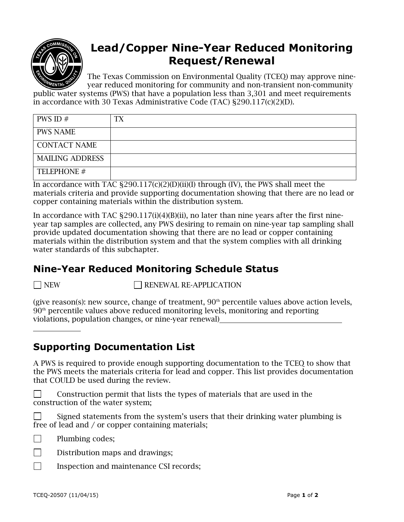

# **Lead/Copper Nine-Year Reduced Monitoring Request/Renewal**

The Texas Commission on Environmental Quality (TCEQ) may approve nineyear reduced monitoring for community and non-transient non-community

public water systems (PWS) that have a population less than 3,301 and meet requirements in accordance with 30 Texas Administrative Code (TAC) §290.117(c)(2)(D).

| PWS ID $#$             | TX |
|------------------------|----|
| <b>PWS NAME</b>        |    |
| <b>CONTACT NAME</b>    |    |
| <b>MAILING ADDRESS</b> |    |
| TELEPHONE #            |    |

In accordance with TAC  $\S290.117(c)(2)(D)(ii)(I)$  through (IV), the PWS shall meet the materials criteria and provide supporting documentation showing that there are no lead or copper containing materials within the distribution system.

In accordance with TAC  $\S 290.117(i)(4)(B)(ii)$ , no later than nine years after the first nineyear tap samples are collected, any PWS desiring to remain on nine-year tap sampling shall provide updated documentation showing that there are no lead or copper containing materials within the distribution system and that the system complies with all drinking water standards of this subchapter.

## **Nine-Year Reduced Monitoring Schedule Status**

 $\overline{\phantom{a}}$ 

 $\Box$  NEW  $\Box$  RENEWAL RE-APPLICATION

(give reason(s): new source, change of treatment,  $90<sup>th</sup>$  percentile values above action levels,  $90<sup>th</sup>$  percentile values above reduced monitoring levels, monitoring and reporting violations, population changes, or nine-year renewal)

### **Supporting Documentation List**

A PWS is required to provide enough supporting documentation to the TCEQ to show that the PWS meets the materials criteria for lead and copper. This list provides documentation that COULD be used during the review.

**Construction permit that lists the types of materials that are used in the** construction of the water system;

 $\Box$ Signed statements from the system's users that their drinking water plumbing is free of lead and / or copper containing materials;

 $\Box$ Plumbing codes;

 $\Box$ Distribution maps and drawings;

□ Inspection and maintenance CSI records;